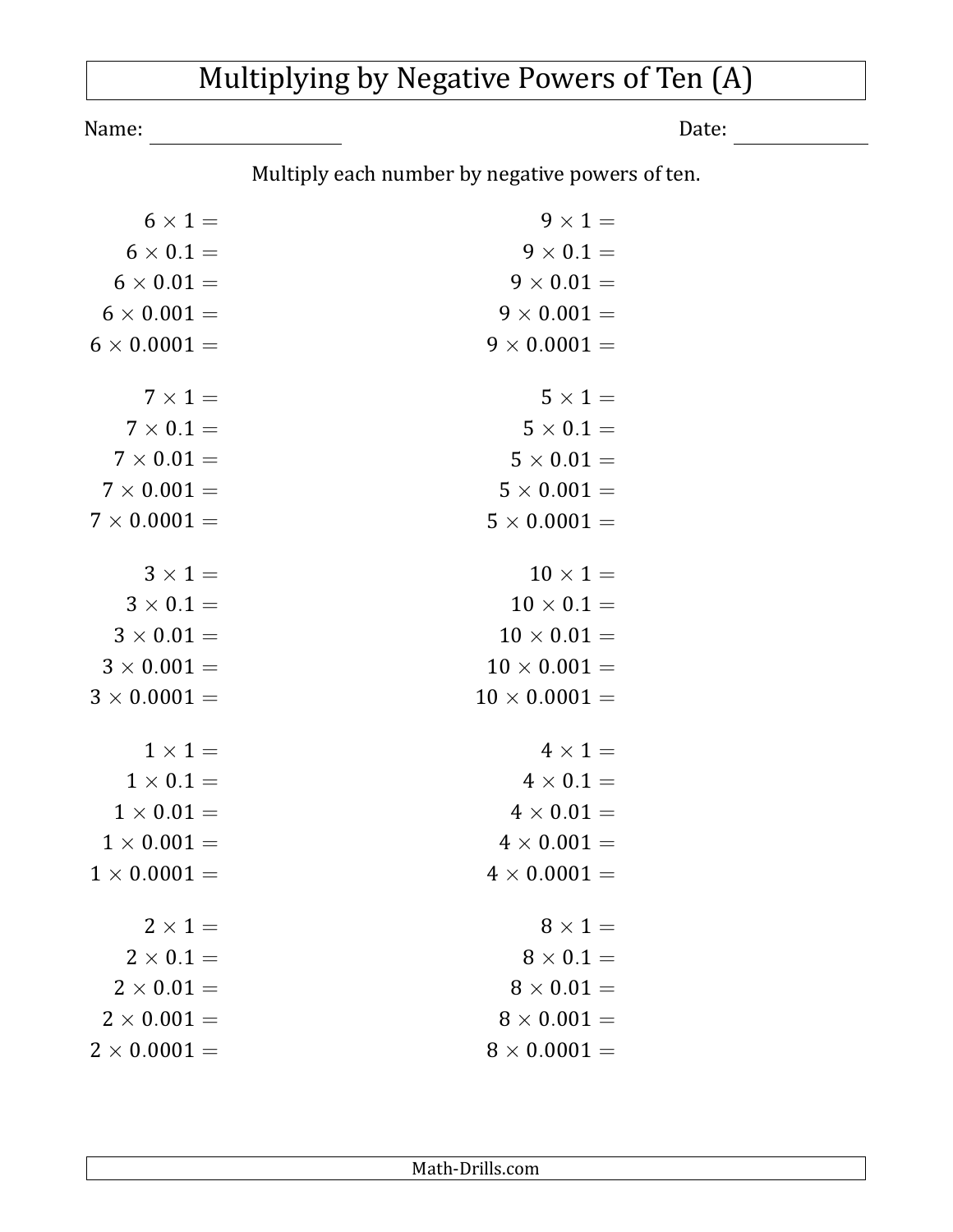## Multiplying by Negative Powers of Ten (A)

Name: Date: Date:

Multiply each number by negative powers of ten.

| $6 \times 1 =$                          | $9 \times 1 =$                     |
|-----------------------------------------|------------------------------------|
| $6 \times 0.1 =$                        | $9 \times 0.1 =$                   |
| $6 \times 0.01 =$                       | $9 \times 0.01 =$                  |
| $6 \times 0.001 =$                      | $9 \times 0.001 =$                 |
| $6 \times 0.0001 =$                     | $9 \times 0.0001 =$                |
| $7 \times 1 =$                          | $5 \times 1 =$                     |
| $7 \times 0.1 =$                        | $5 \times 0.1 =$                   |
| $7\times 0.01 =$                        | $5 \times 0.01 =$                  |
| $7 \times 0.001 =$                      | $5 \times 0.001 =$                 |
| $7 \times 0.0001 =$                     | $5 \times 0.0001 =$                |
| $3 \times 1 =$                          | $10 \times 1 =$                    |
| $3 \times 0.1 =$                        | $10 \times 0.1 =$                  |
| $3 \times 0.01 =$                       | $10 \times 0.01 =$                 |
| $3 \times 0.001 =$                      | $10 \times 0.001 =$                |
| $3 \times 0.0001 =$                     | $10 \times 0.0001 =$               |
| $1 \times 1 =$                          | $4 \times 1 =$                     |
| $1 \times 0.1 =$                        | $4 \times 0.1 =$                   |
| $1 \times 0.01 =$                       | $4 \times 0.01 =$                  |
| $1 \times 0.001 =$                      | $4 \times 0.001 =$                 |
| $1 \times 0.0001 =$                     | $4 \times 0.0001 =$                |
|                                         |                                    |
| $2 \times 1 =$<br>$2 \times 0.1 =$      | $8 \times 1 =$<br>$8 \times 0.1 =$ |
|                                         |                                    |
| $2 \times 0.01 =$<br>$2 \times 0.001 =$ | $8 \times 0.01 =$                  |
|                                         | $8 \times 0.001 =$                 |
| $2 \times 0.0001 =$                     | $8 \times 0.0001 =$                |